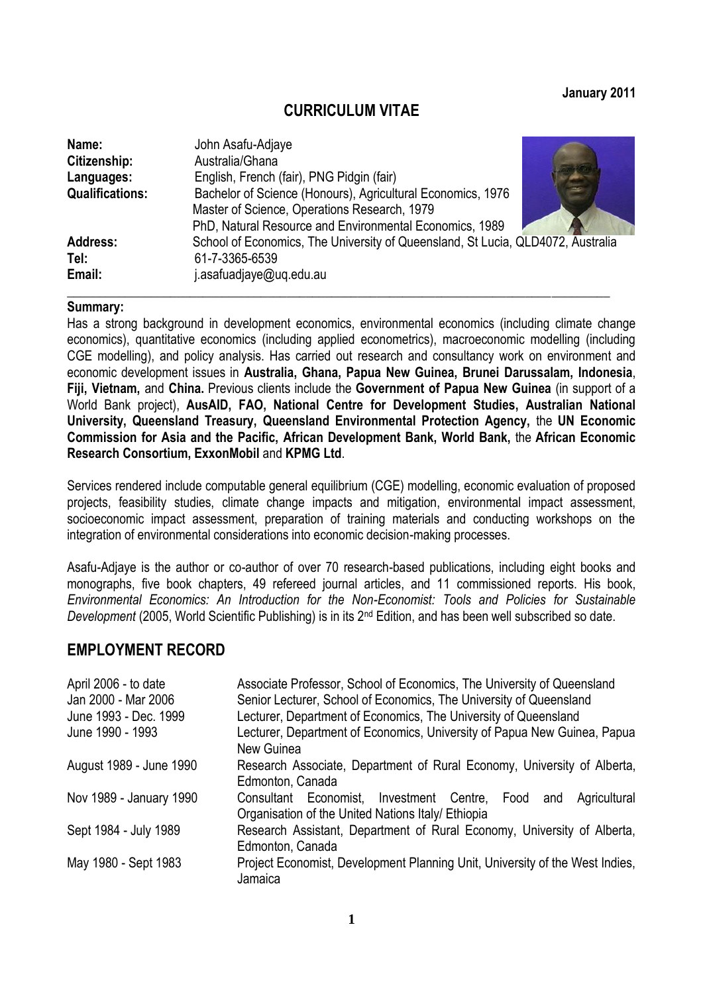### **January 2011**

## **CURRICULUM VITAE**

| Name:                  | John Asafu-Adjaye                                                               |
|------------------------|---------------------------------------------------------------------------------|
| Citizenship:           | Australia/Ghana                                                                 |
| Languages:             | English, French (fair), PNG Pidgin (fair)                                       |
| <b>Qualifications:</b> | Bachelor of Science (Honours), Agricultural Economics, 1976                     |
|                        | Master of Science, Operations Research, 1979                                    |
|                        | PhD, Natural Resource and Environmental Economics, 1989                         |
| <b>Address:</b>        | School of Economics, The University of Queensland, St Lucia, QLD4072, Australia |
| Tel:                   | 61-7-3365-6539                                                                  |
| Email:                 | asafuadjaye@uq.edu.au                                                           |

**\_\_\_\_\_\_\_\_\_\_\_\_\_\_\_\_\_\_\_\_\_\_\_\_\_\_\_\_\_\_\_\_\_\_\_\_\_\_\_\_\_\_\_\_\_\_\_\_\_\_\_\_\_\_\_\_\_\_\_\_\_\_\_\_\_\_\_\_\_\_\_\_\_\_\_\_\_\_\_\_\_\_\_\_**

#### **Summary:**

Has a strong background in development economics, environmental economics (including climate change economics), quantitative economics (including applied econometrics), macroeconomic modelling (including CGE modelling), and policy analysis. Has carried out research and consultancy work on environment and economic development issues in **Australia, Ghana, Papua New Guinea, Brunei Darussalam, Indonesia**, **Fiji, Vietnam,** and **China.** Previous clients include the **Government of Papua New Guinea** (in support of a World Bank project), **AusAID, FAO, National Centre for Development Studies, Australian National University, Queensland Treasury, Queensland Environmental Protection Agency,** the **UN Economic Commission for Asia and the Pacific, African Development Bank, World Bank,** the **African Economic Research Consortium, ExxonMobil** and **KPMG Ltd**.

Services rendered include computable general equilibrium (CGE) modelling, economic evaluation of proposed projects, feasibility studies, climate change impacts and mitigation, environmental impact assessment, socioeconomic impact assessment, preparation of training materials and conducting workshops on the integration of environmental considerations into economic decision-making processes.

Asafu-Adjaye is the author or co-author of over 70 research-based publications, including eight books and monographs, five book chapters, 49 refereed journal articles, and 11 commissioned reports. His book, *Environmental Economics: An Introduction for the Non-Economist: Tools and Policies for Sustainable Development* (2005, World Scientific Publishing) is in its 2nd Edition, and has been well subscribed so date.

## **EMPLOYMENT RECORD**

| April 2006 - to date<br>Jan 2000 - Mar 2006 | Associate Professor, School of Economics, The University of Queensland<br>Senior Lecturer, School of Economics, The University of Queensland |  |  |  |
|---------------------------------------------|----------------------------------------------------------------------------------------------------------------------------------------------|--|--|--|
| June 1993 - Dec. 1999                       | Lecturer, Department of Economics, The University of Queensland                                                                              |  |  |  |
| June 1990 - 1993                            | Lecturer, Department of Economics, University of Papua New Guinea, Papua<br>New Guinea                                                       |  |  |  |
| August 1989 - June 1990                     | Research Associate, Department of Rural Economy, University of Alberta,<br>Edmonton, Canada                                                  |  |  |  |
| Nov 1989 - January 1990                     | Consultant Economist, Investment Centre, Food<br>Agricultural<br>and<br>Organisation of the United Nations Italy/ Ethiopia                   |  |  |  |
| Sept 1984 - July 1989                       | Research Assistant, Department of Rural Economy, University of Alberta,<br>Edmonton, Canada                                                  |  |  |  |
| May 1980 - Sept 1983                        | Project Economist, Development Planning Unit, University of the West Indies,<br>Jamaica                                                      |  |  |  |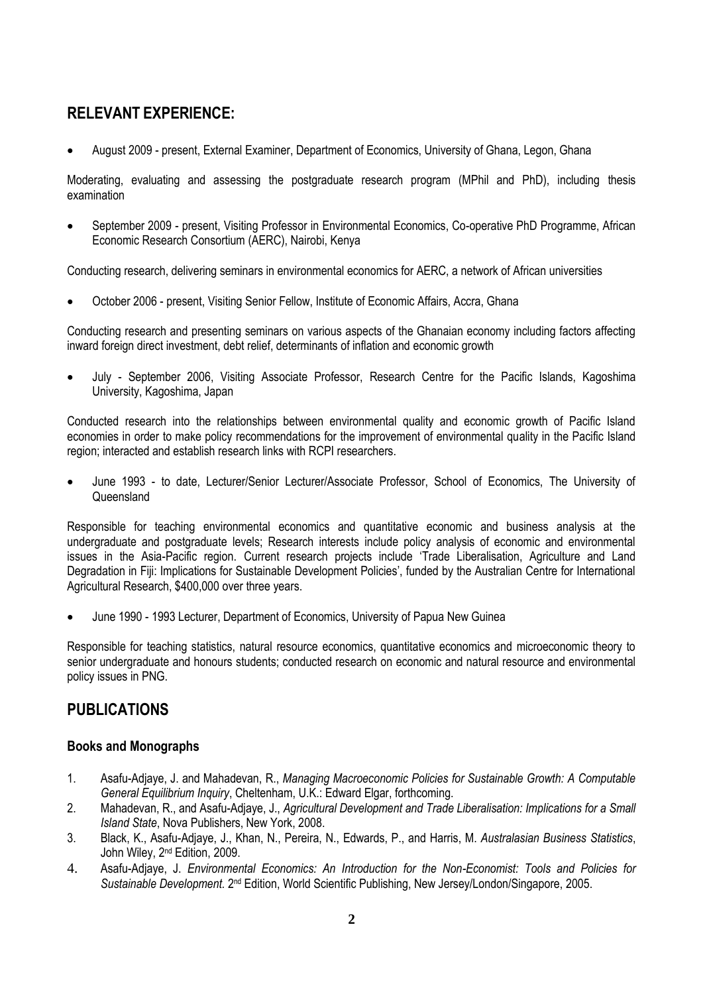# **RELEVANT EXPERIENCE:**

August 2009 - present, External Examiner, Department of Economics, University of Ghana, Legon, Ghana

Moderating, evaluating and assessing the postgraduate research program (MPhil and PhD), including thesis examination

 September 2009 - present, Visiting Professor in Environmental Economics, Co-operative PhD Programme, African Economic Research Consortium (AERC), Nairobi, Kenya

Conducting research, delivering seminars in environmental economics for AERC, a network of African universities

October 2006 - present, Visiting Senior Fellow, Institute of Economic Affairs, Accra, Ghana

Conducting research and presenting seminars on various aspects of the Ghanaian economy including factors affecting inward foreign direct investment, debt relief, determinants of inflation and economic growth

 July - September 2006, Visiting Associate Professor, Research Centre for the Pacific Islands, Kagoshima University, Kagoshima, Japan

Conducted research into the relationships between environmental quality and economic growth of Pacific Island economies in order to make policy recommendations for the improvement of environmental quality in the Pacific Island region; interacted and establish research links with RCPI researchers.

 June 1993 - to date, Lecturer/Senior Lecturer/Associate Professor, School of Economics, The University of **Queensland** 

Responsible for teaching environmental economics and quantitative economic and business analysis at the undergraduate and postgraduate levels; Research interests include policy analysis of economic and environmental issues in the Asia-Pacific region. Current research projects include "Trade Liberalisation, Agriculture and Land Degradation in Fiji: Implications for Sustainable Development Policies", funded by the Australian Centre for International Agricultural Research, \$400,000 over three years.

June 1990 - 1993 Lecturer, Department of Economics, University of Papua New Guinea

Responsible for teaching statistics, natural resource economics, quantitative economics and microeconomic theory to senior undergraduate and honours students; conducted research on economic and natural resource and environmental policy issues in PNG.

## **PUBLICATIONS**

### **Books and Monographs**

- 1. Asafu-Adjaye, J. and Mahadevan, R., *Managing Macroeconomic Policies for Sustainable Growth: A Computable General Equilibrium Inquiry*, Cheltenham, U.K.: Edward Elgar, forthcoming.
- 2. Mahadevan, R., and Asafu-Adjaye, J., *Agricultural Development and Trade Liberalisation: Implications for a Small Island State*, Nova Publishers, New York, 2008.
- 3. Black, K., Asafu-Adjaye, J., Khan, N., Pereira, N., Edwards, P., and Harris, M. *Australasian Business Statistics*, John Wiley, 2<sup>nd</sup> Edition, 2009.
- 4. Asafu-Adjaye, J. *Environmental Economics: An Introduction for the Non-Economist: Tools and Policies for*  Sustainable Development. 2<sup>nd</sup> Edition, World Scientific Publishing, New Jersey/London/Singapore, 2005.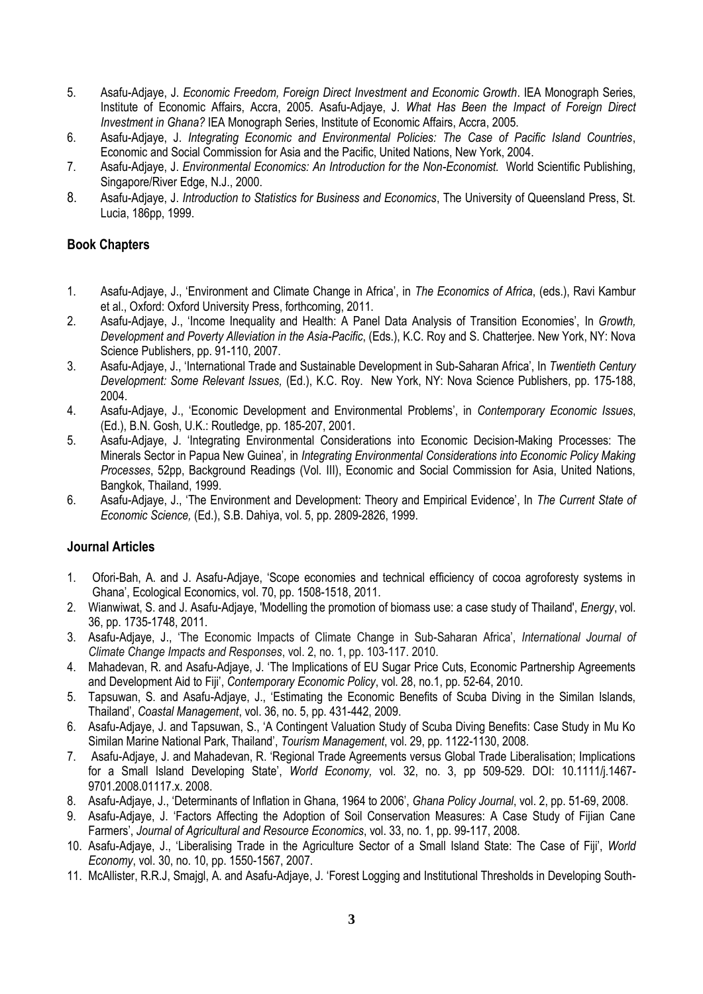- 5. Asafu-Adjaye, J. *Economic Freedom, Foreign Direct Investment and Economic Growth*. IEA Monograph Series, Institute of Economic Affairs, Accra, 2005. Asafu-Adjaye, J. *What Has Been the Impact of Foreign Direct Investment in Ghana?* IEA Monograph Series, Institute of Economic Affairs, Accra, 2005.
- 6. Asafu-Adjaye, J. *Integrating Economic and Environmental Policies: The Case of Pacific Island Countries*, Economic and Social Commission for Asia and the Pacific, United Nations, New York, 2004.
- 7. Asafu-Adjaye, J. *Environmental Economics: An Introduction for the Non-Economist.* World Scientific Publishing, Singapore/River Edge, N.J., 2000.
- 8. Asafu-Adjaye, J. *Introduction to Statistics for Business and Economics*, The University of Queensland Press, St. Lucia, 186pp, 1999.

### **Book Chapters**

- 1. Asafu-Adjaye, J., "Environment and Climate Change in Africa", in *The Economics of Africa*, (eds.), Ravi Kambur et al., Oxford: Oxford University Press, forthcoming, 2011.
- 2. Asafu-Adjaye, J., "Income Inequality and Health: A Panel Data Analysis of Transition Economies", In *Growth, Development and Poverty Alleviation in the Asia-Pacific*, (Eds.), K.C. Roy and S. Chatterjee. New York, NY: Nova Science Publishers, pp. 91-110, 2007.
- 3. Asafu-Adjaye, J., "International Trade and Sustainable Development in Sub-Saharan Africa", In *Twentieth Century Development: Some Relevant Issues,* (Ed.), K.C. Roy. New York, NY: Nova Science Publishers, pp. 175-188, 2004.
- 4. Asafu-Adjaye, J., "Economic Development and Environmental Problems", in *Contemporary Economic Issues*, (Ed.), B.N. Gosh, U.K.: Routledge, pp. 185-207, 2001.
- 5. Asafu-Adjaye, J. "Integrating Environmental Considerations into Economic Decision-Making Processes: The Minerals Sector in Papua New Guinea"*,* in *Integrating Environmental Considerations into Economic Policy Making Processes*, 52pp, Background Readings (Vol. III), Economic and Social Commission for Asia, United Nations, Bangkok, Thailand, 1999.
- 6. Asafu-Adjaye, J., "The Environment and Development: Theory and Empirical Evidence", In *The Current State of Economic Science,* (Ed.), S.B. Dahiya, vol. 5, pp. 2809-2826, 1999.

### **Journal Articles**

- 1. Ofori-Bah, A. and J. Asafu-Adjaye, "Scope economies and technical efficiency of cocoa agroforesty systems in Ghana", Ecological Economics, vol. 70, pp. 1508-1518, 2011.
- 2. Wianwiwat, S. and J. Asafu-Adjaye, 'Modelling the promotion of biomass use: a case study of Thailand', *Energy*, vol. 36, pp. 1735-1748, 2011.
- 3. Asafu-Adjaye, J., "The Economic Impacts of Climate Change in Sub-Saharan Africa", *International Journal of Climate Change Impacts and Responses*, vol. 2, no. 1, pp. 103-117. 2010.
- 4. Mahadevan, R. and Asafu-Adjaye, J. "The Implications of EU Sugar Price Cuts, Economic Partnership Agreements and Development Aid to Fiji", *Contemporary Economic Policy*, vol. 28, no.1, pp. 52-64, 2010.
- 5. Tapsuwan, S. and Asafu-Adjaye, J., "Estimating the Economic Benefits of Scuba Diving in the Similan Islands, Thailand", *Coastal Management*, vol. 36, no. 5, pp. 431-442, 2009.
- 6. Asafu-Adjaye, J. and Tapsuwan, S., "A Contingent Valuation Study of Scuba Diving Benefits: Case Study in Mu Ko Similan Marine National Park, Thailand", *Tourism Management*, vol. 29, pp. 1122-1130, 2008.
- 7. Asafu-Adjaye, J. and Mahadevan, R. "Regional Trade Agreements versus Global Trade Liberalisation; Implications for a Small Island Developing State", *World Economy,* vol. 32, no. 3, pp 509-529. DOI: 10.1111/j.1467- 9701.2008.01117.x. 2008.
- 8. Asafu-Adjaye, J., "Determinants of Inflation in Ghana, 1964 to 2006", *Ghana Policy Journal*, vol. 2, pp. 51-69, 2008.
- 9. Asafu-Adjaye, J. "Factors Affecting the Adoption of Soil Conservation Measures: A Case Study of Fijian Cane Farmers", *Journal of Agricultural and Resource Economics*, vol. 33, no. 1, pp. 99-117, 2008.
- 10. Asafu-Adjaye, J., "Liberalising Trade in the Agriculture Sector of a Small Island State: The Case of Fiji", *World Economy*, vol. 30, no. 10, pp. 1550-1567, 2007.
- 11. McAllister, R.R.J, Smajgl, A. and Asafu-Adjaye, J. "Forest Logging and Institutional Thresholds in Developing South-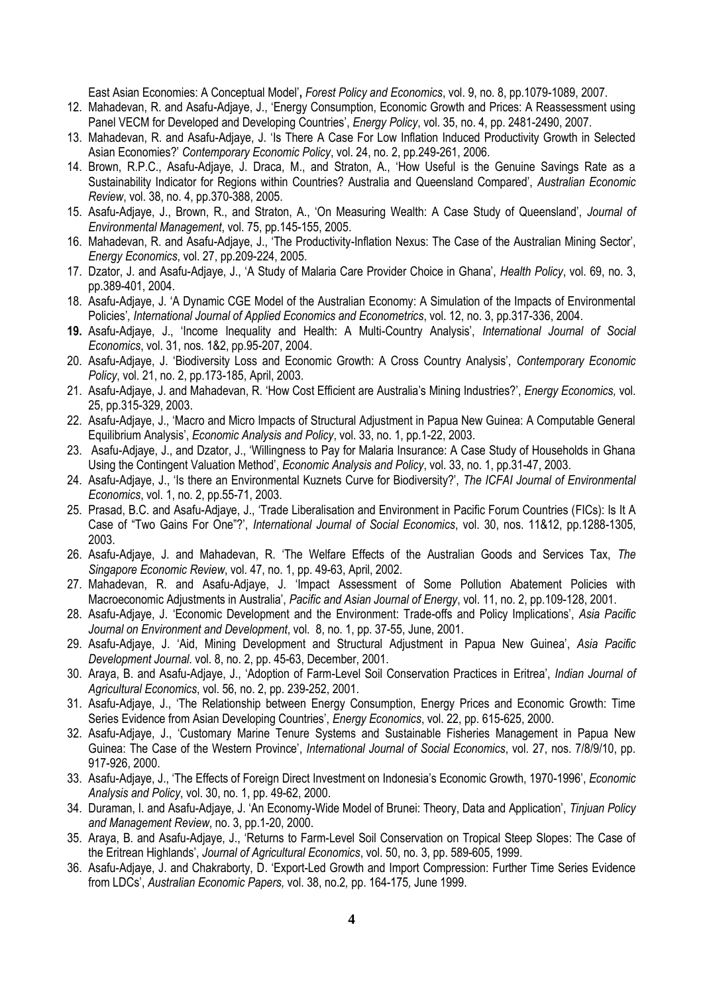East Asian Economies: A Conceptual Model"**,** *Forest Policy and Economics*, vol. 9, no. 8, pp.1079-1089, 2007.

- 12. Mahadevan, R. and Asafu-Adjaye, J., "Energy Consumption, Economic Growth and Prices: A Reassessment using Panel VECM for Developed and Developing Countries', *Energy Policy*, vol. 35, no. 4, pp. 2481-2490, 2007.
- 13. Mahadevan, R. and Asafu-Adjaye, J. "Is There A Case For Low Inflation Induced Productivity Growth in Selected Asian Economies?" *Contemporary Economic Policy*, vol. 24, no. 2, pp.249-261, 2006.
- 14. Brown, R.P.C., Asafu-Adjaye, J. Draca, M., and Straton, A., "How Useful is the Genuine Savings Rate as a Sustainability Indicator for Regions within Countries? Australia and Queensland Compared", *Australian Economic Review*, vol. 38, no. 4, pp.370-388, 2005.
- 15. Asafu-Adjaye, J., Brown, R., and Straton, A., "On Measuring Wealth: A Case Study of Queensland", *Journal of Environmental Management*, vol. 75, pp.145-155, 2005.
- 16. Mahadevan, R. and Asafu-Adjaye, J., "The Productivity-Inflation Nexus: The Case of the Australian Mining Sector", *Energy Economics*, vol. 27, pp.209-224, 2005.
- 17. Dzator, J. and Asafu-Adjaye, J., "A Study of Malaria Care Provider Choice in Ghana", *Health Policy*, vol. 69, no. 3, pp.389-401, 2004.
- 18. Asafu-Adjaye, J. "A Dynamic CGE Model of the Australian Economy: A Simulation of the Impacts of Environmental Policies"*, International Journal of Applied Economics and Econometrics*, vol. 12, no. 3, pp.317-336, 2004.
- **19.** Asafu-Adjaye, J., "Income Inequality and Health: A Multi-Country Analysis", *International Journal of Social Economics*, vol. 31, nos. 1&2, pp.95-207, 2004.
- 20. Asafu-Adjaye, J. "Biodiversity Loss and Economic Growth: A Cross Country Analysis", *Contemporary Economic Policy*, vol. 21, no. 2, pp.173-185, April, 2003.
- 21. Asafu-Adjaye, J. and Mahadevan, R. "How Cost Efficient are Australia"s Mining Industries?", *Energy Economics,* vol. 25, pp.315-329, 2003.
- 22. Asafu-Adjaye, J., "Macro and Micro Impacts of Structural Adjustment in Papua New Guinea: A Computable General Equilibrium Analysis", *Economic Analysis and Policy*, vol. 33, no. 1, pp.1-22, 2003.
- 23. Asafu-Adjaye, J., and Dzator, J., "Willingness to Pay for Malaria Insurance: A Case Study of Households in Ghana Using the Contingent Valuation Method", *Economic Analysis and Policy*, vol. 33, no. 1, pp.31-47, 2003.
- 24. Asafu-Adjaye, J., "Is there an Environmental Kuznets Curve for Biodiversity?", *The ICFAI Journal of Environmental Economics*, vol. 1, no. 2, pp.55-71, 2003.
- 25. Prasad, B.C. and Asafu-Adjaye, J., "Trade Liberalisation and Environment in Pacific Forum Countries (FICs): Is It A Case of "Two Gains For One"?", *International Journal of Social Economics*, vol. 30, nos. 11&12, pp.1288-1305, 2003.
- 26. Asafu-Adjaye, J. and Mahadevan, R. "The Welfare Effects of the Australian Goods and Services Tax, *The Singapore Economic Review*, vol. 47, no. 1, pp. 49-63, April, 2002.
- 27. Mahadevan, R. and Asafu-Adjaye, J. "Impact Assessment of Some Pollution Abatement Policies with Macroeconomic Adjustments in Australia", *Pacific and Asian Journal of Energy*, vol. 11, no. 2, pp.109-128, 2001.
- 28. Asafu-Adjaye, J. "Economic Development and the Environment: Trade-offs and Policy Implications", *Asia Pacific Journal on Environment and Development*, vol. 8, no. 1, pp. 37-55, June, 2001.
- 29. Asafu-Adjaye, J. "Aid, Mining Development and Structural Adjustment in Papua New Guinea", *Asia Pacific Development Journal*. vol. 8, no. 2, pp. 45-63, December, 2001.
- 30. Araya, B. and Asafu-Adjaye, J., "Adoption of Farm-Level Soil Conservation Practices in Eritrea", *Indian Journal of Agricultural Economics*, vol. 56, no. 2, pp. 239-252, 2001.
- 31. Asafu-Adjaye, J., "The Relationship between Energy Consumption, Energy Prices and Economic Growth: Time Series Evidence from Asian Developing Countries", *Energy Economics*, vol. 22, pp. 615-625, 2000.
- 32. Asafu-Adjaye, J., "Customary Marine Tenure Systems and Sustainable Fisheries Management in Papua New Guinea: The Case of the Western Province", *International Journal of Social Economics*, vol. 27, nos. 7/8/9/10, pp. 917-926, 2000.
- 33. Asafu-Adjaye, J., "The Effects of Foreign Direct Investment on Indonesia"s Economic Growth, 1970-1996", *Economic Analysis and Policy*, vol. 30, no. 1, pp. 49-62, 2000.
- 34. Duraman, I. and Asafu-Adjaye, J. "An Economy-Wide Model of Brunei: Theory, Data and Application", *Tinjuan Policy and Management Review*, no. 3, pp.1-20, 2000.
- 35. Araya, B. and Asafu-Adjaye, J., "Returns to Farm-Level Soil Conservation on Tropical Steep Slopes: The Case of the Eritrean Highlands", *Journal of Agricultural Economics*, vol. 50, no. 3, pp. 589-605, 1999.
- 36. Asafu-Adjaye, J. and Chakraborty, D. "Export-Led Growth and Import Compression: Further Time Series Evidence from LDCs", *Australian Economic Papers,* vol. 38, no.2*,* pp. 164-175*,* June 1999.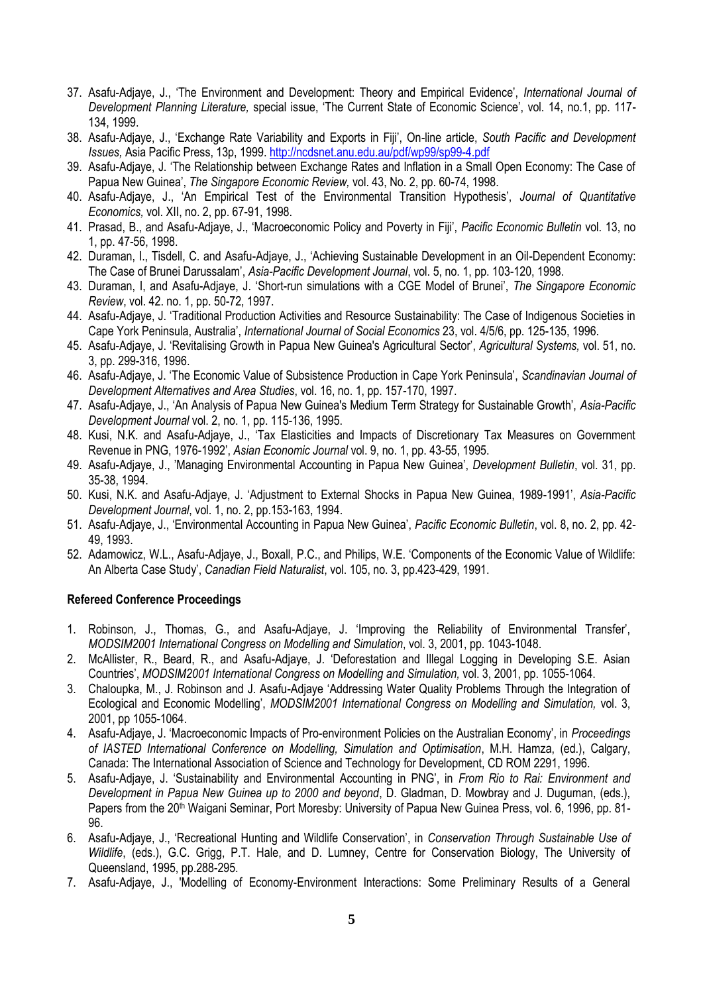- 37. Asafu-Adjaye, J., "The Environment and Development: Theory and Empirical Evidence", *International Journal of Development Planning Literature,* special issue, "The Current State of Economic Science", vol. 14, no.1, pp. 117- 134, 1999.
- 38. Asafu-Adjaye, J., "Exchange Rate Variability and Exports in Fiji", On-line article, *South Pacific and Development Issues,* Asia Pacific Press, 13p, 1999.<http://ncdsnet.anu.edu.au/pdf/wp99/sp99-4.pdf>
- 39. Asafu-Adjaye, J. "The Relationship between Exchange Rates and Inflation in a Small Open Economy: The Case of Papua New Guinea", *The Singapore Economic Review,* vol. 43, No. 2, pp. 60-74, 1998.
- 40. Asafu-Adjaye, J., "An Empirical Test of the Environmental Transition Hypothesis", *Journal of Quantitative Economics,* vol. XII, no. 2, pp. 67-91, 1998.
- 41. Prasad, B., and Asafu-Adjaye, J., "Macroeconomic Policy and Poverty in Fiji", *Pacific Economic Bulletin* vol. 13, no 1, pp. 47-56, 1998.
- 42. Duraman, I., Tisdell, C. and Asafu-Adjaye, J., "Achieving Sustainable Development in an Oil-Dependent Economy: The Case of Brunei Darussalam", *Asia-Pacific Development Journal*, vol. 5, no. 1, pp. 103-120, 1998.
- 43. Duraman, I, and Asafu-Adjaye, J. "Short-run simulations with a CGE Model of Brunei", *The Singapore Economic Review*, vol. 42. no. 1, pp. 50-72, 1997.
- 44. Asafu-Adjaye, J. "Traditional Production Activities and Resource Sustainability: The Case of Indigenous Societies in Cape York Peninsula, Australia", *International Journal of Social Economics* 23, vol. 4/5/6, pp. 125-135, 1996.
- 45. Asafu-Adjaye, J. "Revitalising Growth in Papua New Guinea's Agricultural Sector", *Agricultural Systems,* vol. 51, no. 3, pp. 299-316, 1996.
- 46. Asafu-Adjaye, J. "The Economic Value of Subsistence Production in Cape York Peninsula", *Scandinavian Journal of Development Alternatives and Area Studies*, vol. 16, no. 1, pp. 157-170, 1997.
- 47. Asafu-Adjaye, J., "An Analysis of Papua New Guinea's Medium Term Strategy for Sustainable Growth", *Asia-Pacific Development Journal* vol. 2, no. 1, pp. 115-136, 1995.
- 48. Kusi, N.K. and Asafu-Adjaye, J., "Tax Elasticities and Impacts of Discretionary Tax Measures on Government Revenue in PNG, 1976-1992", *Asian Economic Journal* vol. 9, no. 1, pp. 43-55, 1995.
- 49. Asafu-Adjaye, J., "Managing Environmental Accounting in Papua New Guinea", *Development Bulletin*, vol. 31, pp. 35-38, 1994.
- 50. Kusi, N.K. and Asafu-Adjaye, J. "Adjustment to External Shocks in Papua New Guinea, 1989-1991", *Asia-Pacific Development Journal*, vol. 1, no. 2, pp.153-163, 1994.
- 51. Asafu-Adjaye, J., "Environmental Accounting in Papua New Guinea", *Pacific Economic Bulletin*, vol. 8, no. 2, pp. 42- 49, 1993.
- 52. Adamowicz, W.L., Asafu-Adjaye, J., Boxall, P.C., and Philips, W.E. "Components of the Economic Value of Wildlife: An Alberta Case Study", *Canadian Field Naturalist*, vol. 105, no. 3, pp.423-429, 1991.

### **Refereed Conference Proceedings**

- 1. Robinson, J., Thomas, G., and Asafu-Adjaye, J. "Improving the Reliability of Environmental Transfer", *MODSIM2001 International Congress on Modelling and Simulation*, vol. 3, 2001, pp. 1043-1048.
- 2. McAllister, R., Beard, R., and Asafu-Adjaye, J. "Deforestation and Illegal Logging in Developing S.E. Asian Countries", *MODSIM2001 International Congress on Modelling and Simulation,* vol. 3, 2001, pp. 1055-1064.
- 3. Chaloupka, M., J. Robinson and J. Asafu-Adjaye "Addressing Water Quality Problems Through the Integration of Ecological and Economic Modelling", *MODSIM2001 International Congress on Modelling and Simulation,* vol. 3, 2001, pp 1055-1064.
- 4. Asafu-Adjaye, J. "Macroeconomic Impacts of Pro-environment Policies on the Australian Economy", in *Proceedings of IASTED International Conference on Modelling, Simulation and Optimisation*, M.H. Hamza, (ed.), Calgary, Canada: The International Association of Science and Technology for Development, CD ROM 2291, 1996.
- 5. Asafu-Adjaye, J. "Sustainability and Environmental Accounting in PNG", in *From Rio to Rai: Environment and Development in Papua New Guinea up to 2000 and beyond*, D. Gladman, D. Mowbray and J. Duguman, (eds.), Papers from the 20<sup>th</sup> Waigani Seminar, Port Moresby: University of Papua New Guinea Press, vol. 6, 1996, pp. 81-96.
- 6. Asafu-Adjaye, J., "Recreational Hunting and Wildlife Conservation", in *Conservation Through Sustainable Use of Wildlife*, (eds.), G.C. Grigg, P.T. Hale, and D. Lumney, Centre for Conservation Biology, The University of Queensland, 1995, pp.288-295.
- 7. Asafu-Adjaye, J., 'Modelling of Economy-Environment Interactions: Some Preliminary Results of a General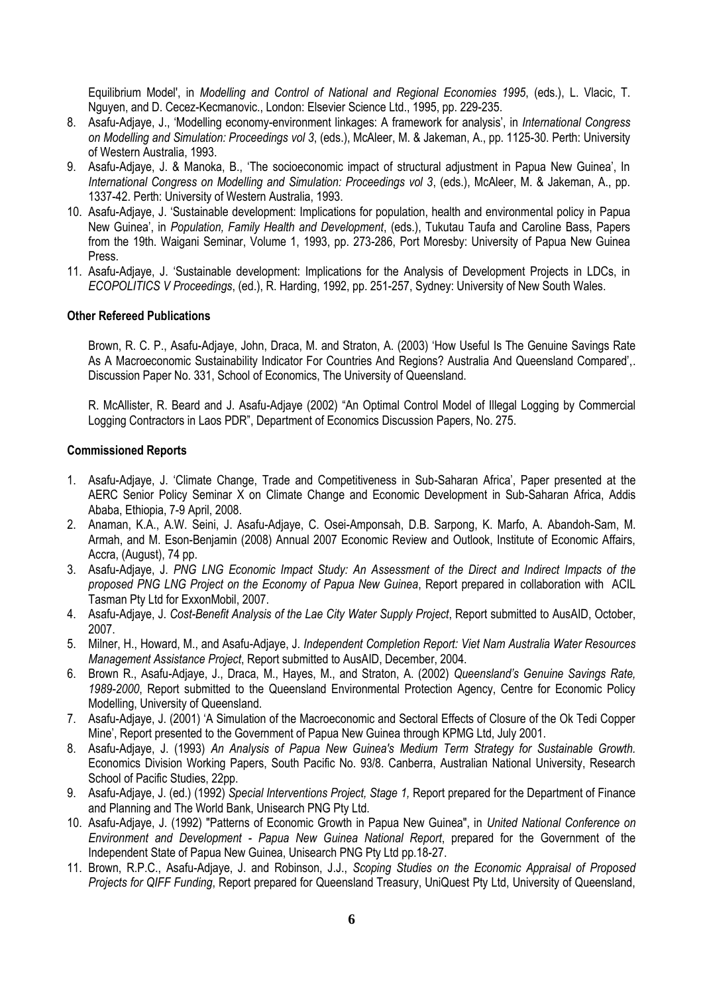Equilibrium Model', in *Modelling and Control of National and Regional Economies 1995*, (eds.), L. Vlacic, T. Nguyen, and D. Cecez-Kecmanovic., London: Elsevier Science Ltd., 1995, pp. 229-235.

- 8. Asafu-Adjaye, J., "Modelling economy-environment linkages: A framework for analysis", in *International Congress on Modelling and Simulation: Proceedings vol 3*, (eds.), McAleer, M. & Jakeman, A., pp. 1125-30. Perth: University of Western Australia, 1993.
- 9. Asafu-Adjaye, J. & Manoka, B., "The socioeconomic impact of structural adjustment in Papua New Guinea", In *International Congress on Modelling and Simulation: Proceedings vol 3*, (eds.), McAleer, M. & Jakeman, A., pp. 1337-42. Perth: University of Western Australia, 1993.
- 10. Asafu-Adjaye, J. "Sustainable development: Implications for population, health and environmental policy in Papua New Guinea", in *Population, Family Health and Development*, (eds.), Tukutau Taufa and Caroline Bass, Papers from the 19th. Waigani Seminar, Volume 1, 1993, pp. 273-286, Port Moresby: University of Papua New Guinea Press.
- 11. Asafu-Adjaye, J. "Sustainable development: Implications for the Analysis of Development Projects in LDCs, in *ECOPOLITICS V Proceedings*, (ed.), R. Harding, 1992, pp. 251-257, Sydney: University of New South Wales.

#### **Other Refereed Publications**

Brown, R. C. P., Asafu-Adjaye, John, Draca, M. and Straton, A. (2003) "How Useful Is The Genuine Savings Rate As A Macroeconomic Sustainability Indicator For Countries And Regions? Australia And Queensland Compared",. Discussion Paper No. 331, School of Economics, The University of Queensland.

R. McAllister, R. Beard and J. Asafu-Adjaye (2002) "An Optimal Control Model of Illegal Logging by Commercial Logging Contractors in Laos PDR", Department of Economics Discussion Papers, No. 275.

#### **Commissioned Reports**

- 1. Asafu-Adjaye, J. "Climate Change, Trade and Competitiveness in Sub-Saharan Africa", Paper presented at the AERC Senior Policy Seminar X on Climate Change and Economic Development in Sub-Saharan Africa, Addis Ababa, Ethiopia, 7-9 April, 2008.
- 2. Anaman, K.A., A.W. Seini, J. Asafu-Adjaye, C. Osei-Amponsah, D.B. Sarpong, K. Marfo, A. Abandoh-Sam, M. Armah, and M. Eson-Benjamin (2008) Annual 2007 Economic Review and Outlook, Institute of Economic Affairs, Accra, (August), 74 pp.
- 3. Asafu-Adjaye, J. *PNG LNG Economic Impact Study: An Assessment of the Direct and Indirect Impacts of the proposed PNG LNG Project on the Economy of Papua New Guinea*, Report prepared in collaboration with ACIL Tasman Pty Ltd for ExxonMobil, 2007.
- 4. Asafu-Adjaye, J. *Cost-Benefit Analysis of the Lae City Water Supply Project*, Report submitted to AusAID, October, 2007.
- 5. Milner, H., Howard, M., and Asafu-Adjaye, J. *Independent Completion Report: Viet Nam Australia Water Resources Management Assistance Project*, Report submitted to AusAID, December, 2004.
- 6. Brown R., Asafu-Adjaye, J., Draca, M., Hayes, M., and Straton, A. (2002) *Queensland's Genuine Savings Rate, 1989-2000*, Report submitted to the Queensland Environmental Protection Agency, Centre for Economic Policy Modelling, University of Queensland.
- 7. Asafu-Adjaye, J. (2001) "A Simulation of the Macroeconomic and Sectoral Effects of Closure of the Ok Tedi Copper Mine", Report presented to the Government of Papua New Guinea through KPMG Ltd, July 2001.
- 8. Asafu-Adjaye, J. (1993) *An Analysis of Papua New Guinea's Medium Term Strategy for Sustainable Growth.* Economics Division Working Papers, South Pacific No. 93/8. Canberra, Australian National University, Research School of Pacific Studies, 22pp.
- 9. Asafu-Adjaye, J. (ed.) (1992) *Special Interventions Project, Stage 1,* Report prepared for the Department of Finance and Planning and The World Bank, Unisearch PNG Pty Ltd.
- 10. Asafu-Adjaye, J. (1992) "Patterns of Economic Growth in Papua New Guinea", in *United National Conference on Environment and Development - Papua New Guinea National Report*, prepared for the Government of the Independent State of Papua New Guinea, Unisearch PNG Pty Ltd pp.18-27.
- 11. Brown, R.P.C., Asafu-Adjaye, J. and Robinson, J.J., *Scoping Studies on the Economic Appraisal of Proposed Projects for QIFF Funding*, Report prepared for Queensland Treasury, UniQuest Pty Ltd, University of Queensland,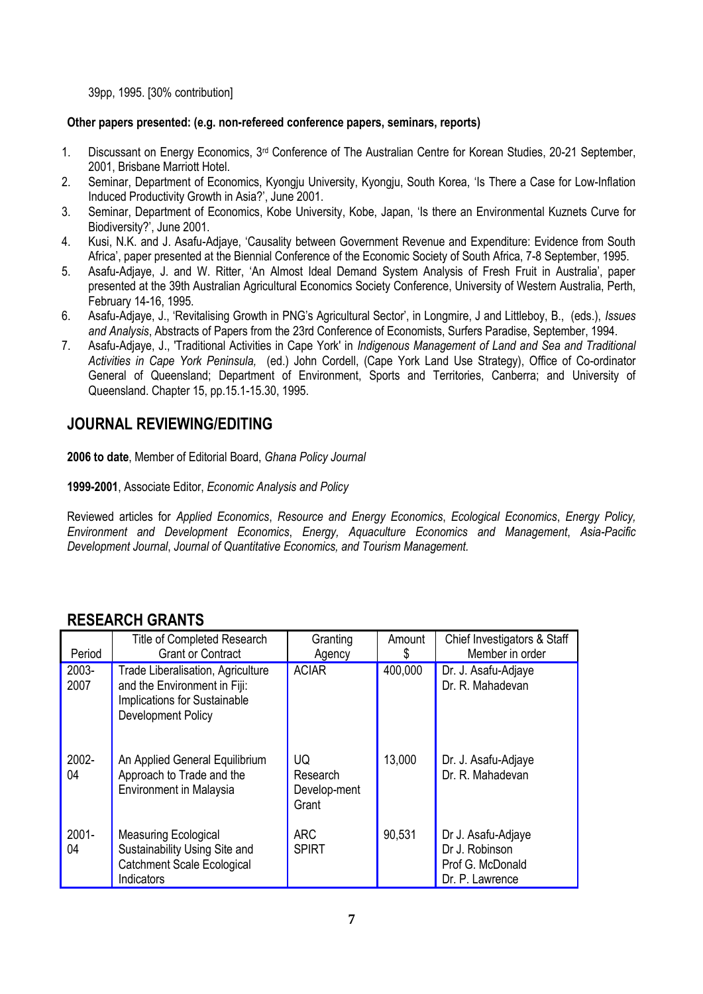39pp, 1995. [30% contribution]

#### **Other papers presented: (e.g. non-refereed conference papers, seminars, reports)**

- 1. Discussant on Energy Economics, 3rd Conference of The Australian Centre for Korean Studies, 20-21 September, 2001, Brisbane Marriott Hotel.
- 2. Seminar, Department of Economics, Kyongju University, Kyongju, South Korea, "Is There a Case for Low-Inflation Induced Productivity Growth in Asia?", June 2001.
- 3. Seminar, Department of Economics, Kobe University, Kobe, Japan, "Is there an Envir*o*nmental Kuznets Curve for Biodiversity?", June 2001.
- 4. Kusi, N.K. and J. Asafu-Adjaye, "Causality between Government Revenue and Expenditure: Evidence from South Africa", paper presented at the Biennial Conference of the Economic Society of South Africa, 7-8 September, 1995.
- 5. Asafu-Adjaye, J. and W. Ritter, "An Almost Ideal Demand System Analysis of Fresh Fruit in Australia", paper presented at the 39th Australian Agricultural Economics Society Conference, University of Western Australia, Perth, February 14-16, 1995.
- 6. Asafu-Adjaye, J., "Revitalising Growth in PNG"s Agricultural Sector", in Longmire, J and Littleboy, B., (eds.), *Issues and Analysis*, Abstracts of Papers from the 23rd Conference of Economists, Surfers Paradise, September, 1994.
- 7. Asafu-Adjaye, J., 'Traditional Activities in Cape York' in *Indigenous Management of Land and Sea and Traditional Activities in Cape York Peninsula,* (ed.) John Cordell, (Cape York Land Use Strategy), Office of Co-ordinator General of Queensland; Department of Environment, Sports and Territories, Canberra; and University of Queensland. Chapter 15, pp.15.1-15.30, 1995.

# **JOURNAL REVIEWING/EDITING**

**2006 to date**, Member of Editorial Board, *Ghana Policy Journal*

**1999-2001**, Associate Editor, *Economic Analysis and Policy*

Reviewed articles for *Applied Economics*, *Resource and Energy Economics*, *Ecological Economics*, *Energy Policy, Environment and Development Economics*, *Energy, Aquaculture Economics and Management*, *Asia-Pacific Development Journal*, *Journal of Quantitative Economics, and Tourism Management.*

### **RESEARCH GRANTS**

| Period         | <b>Title of Completed Research</b><br><b>Grant or Contract</b>                                                                               | Granting<br>Agency                      | Amount<br>S | Chief Investigators & Staff<br>Member in order                              |
|----------------|----------------------------------------------------------------------------------------------------------------------------------------------|-----------------------------------------|-------------|-----------------------------------------------------------------------------|
| 2003-<br>2007  | <b>Trade Liberalisation, Agriculture</b><br>and the Environment in Fiji:<br><b>Implications for Sustainable</b><br><b>Development Policy</b> | <b>ACIAR</b>                            | 400,000     | Dr. J. Asafu-Adjaye<br>Dr. R. Mahadevan                                     |
| 2002-<br>04    | An Applied General Equilibrium<br>Approach to Trade and the<br><b>Environment in Malaysia</b>                                                | UQ<br>Research<br>Develop-ment<br>Grant | 13,000      | Dr. J. Asafu-Adjaye<br>Dr. R. Mahadevan                                     |
| $2001 -$<br>04 | <b>Measuring Ecological</b><br>Sustainability Using Site and<br><b>Catchment Scale Ecological</b><br>Indicators                              | <b>ARC</b><br><b>SPIRT</b>              | 90,531      | Dr J. Asafu-Adjaye<br>Dr J. Robinson<br>Prof G. McDonald<br>Dr. P. Lawrence |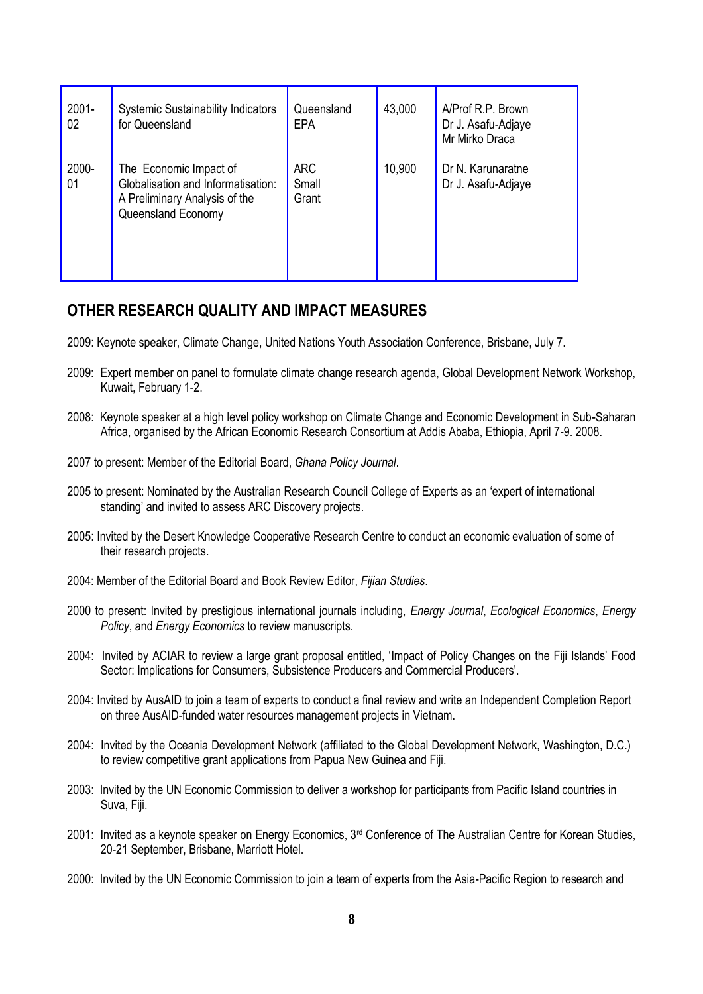| $2001 -$<br>02 | <b>Systemic Sustainability Indicators</b><br>for Queensland                                                         | Queensland<br><b>EPA</b>     | 43,000 | A/Prof R.P. Brown<br>Dr J. Asafu-Adjaye<br>Mr Mirko Draca |
|----------------|---------------------------------------------------------------------------------------------------------------------|------------------------------|--------|-----------------------------------------------------------|
| 2000-<br>01    | The Economic Impact of<br>Globalisation and Informatisation:<br>A Preliminary Analysis of the<br>Queensland Economy | <b>ARC</b><br>Small<br>Grant | 10,900 | Dr N. Karunaratne<br>Dr J. Asafu-Adjaye                   |

## **OTHER RESEARCH QUALITY AND IMPACT MEASURES**

- 2009: Keynote speaker, Climate Change, United Nations Youth Association Conference, Brisbane, July 7.
- 2009: Expert member on panel to formulate climate change research agenda, Global Development Network Workshop, Kuwait, February 1-2.
- 2008: Keynote speaker at a high level policy workshop on Climate Change and Economic Development in Sub-Saharan Africa, organised by the African Economic Research Consortium at Addis Ababa, Ethiopia, April 7-9. 2008.
- 2007 to present: Member of the Editorial Board, *Ghana Policy Journal*.
- 2005 to present: Nominated by the Australian Research Council College of Experts as an "expert of international standing' and invited to assess ARC Discovery projects.
- 2005: Invited by the Desert Knowledge Cooperative Research Centre to conduct an economic evaluation of some of their research projects.
- 2004: Member of the Editorial Board and Book Review Editor, *Fijian Studies*.
- 2000 to present: Invited by prestigious international journals including, *Energy Journal*, *Ecological Economics*, *Energy Policy*, and *Energy Economics* to review manuscripts.
- 2004: Invited by ACIAR to review a large grant proposal entitled, "Impact of Policy Changes on the Fiji Islands" Food Sector: Implications for Consumers, Subsistence Producers and Commercial Producers'.
- 2004: Invited by AusAID to join a team of experts to conduct a final review and write an Independent Completion Report on three AusAID-funded water resources management projects in Vietnam.
- 2004: Invited by the Oceania Development Network (affiliated to the Global Development Network, Washington, D.C.) to review competitive grant applications from Papua New Guinea and Fiji.
- 2003: Invited by the UN Economic Commission to deliver a workshop for participants from Pacific Island countries in Suva, Fiji.
- 2001: Invited as a keynote speaker on Energy Economics, 3rd Conference of The Australian Centre for Korean Studies, 20-21 September, Brisbane, Marriott Hotel.
- 2000: Invited by the UN Economic Commission to join a team of experts from the Asia-Pacific Region to research and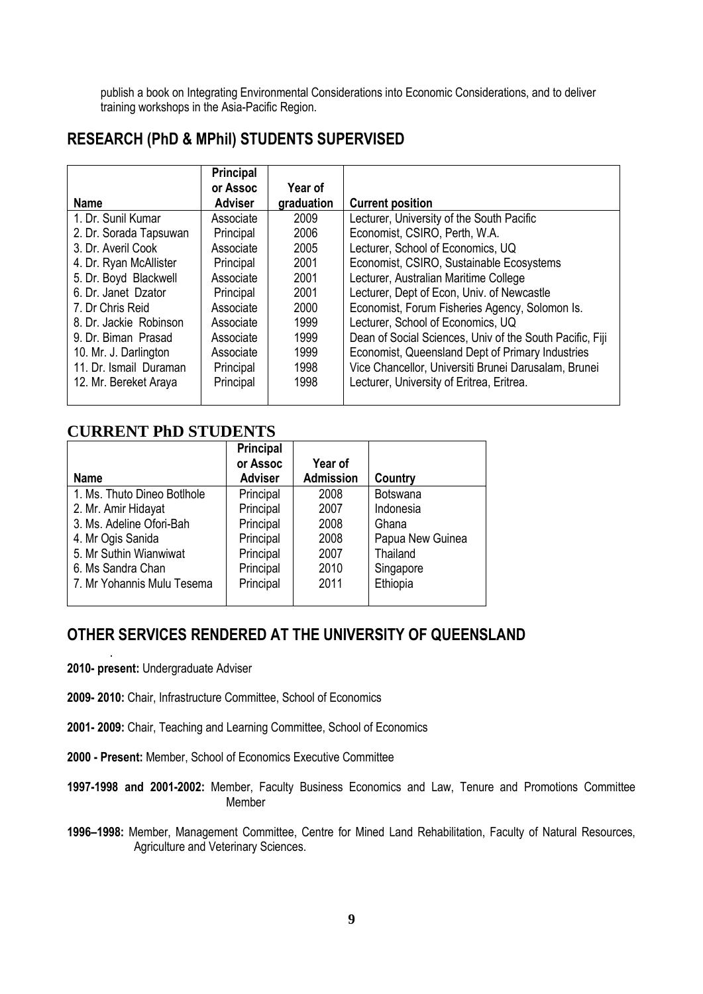publish a book on Integrating Environmental Considerations into Economic Considerations, and to deliver training workshops in the Asia-Pacific Region.

# **RESEARCH (PhD & MPhil) STUDENTS SUPERVISED**

|                        | <b>Principal</b> |            |                                                          |
|------------------------|------------------|------------|----------------------------------------------------------|
|                        | or Assoc         | Year of    |                                                          |
| <b>Name</b>            | <b>Adviser</b>   | graduation | <b>Current position</b>                                  |
| 1. Dr. Sunil Kumar     | Associate        | 2009       | Lecturer, University of the South Pacific                |
| 2. Dr. Sorada Tapsuwan | Principal        | 2006       | Economist, CSIRO, Perth, W.A.                            |
| 3. Dr. Averil Cook     | Associate        | 2005       | Lecturer, School of Economics, UQ                        |
| 4. Dr. Ryan McAllister | Principal        | 2001       | Economist, CSIRO, Sustainable Ecosystems                 |
| 5. Dr. Boyd Blackwell  | Associate        | 2001       | Lecturer, Australian Maritime College                    |
| 6. Dr. Janet Dzator    | Principal        | 2001       | Lecturer, Dept of Econ, Univ. of Newcastle               |
| 7. Dr Chris Reid       | Associate        | 2000       | Economist, Forum Fisheries Agency, Solomon Is.           |
| 8. Dr. Jackie Robinson | Associate        | 1999       | Lecturer, School of Economics, UQ                        |
| 9. Dr. Biman Prasad    | Associate        | 1999       | Dean of Social Sciences, Univ of the South Pacific, Fiji |
| 10. Mr. J. Darlington  | Associate        | 1999       | Economist, Queensland Dept of Primary Industries         |
| 11. Dr. Ismail Duraman | Principal        | 1998       | Vice Chancellor, Universiti Brunei Darusalam, Brunei     |
| 12. Mr. Bereket Araya  | Principal        | 1998       | Lecturer, University of Eritrea, Eritrea.                |
|                        |                  |            |                                                          |

## **CURRENT PhD STUDENTS**

|                             | <b>Principal</b><br>or Assoc | <b>Year of</b>   |                  |
|-----------------------------|------------------------------|------------------|------------------|
| <b>Name</b>                 | <b>Adviser</b>               | <b>Admission</b> | Country          |
| 1. Ms. Thuto Dineo Botlhole | Principal                    | 2008             | <b>Botswana</b>  |
| 2. Mr. Amir Hidayat         | Principal                    | 2007             | Indonesia        |
| 3. Ms. Adeline Ofori-Bah    | Principal                    | 2008             | Ghana            |
| 4. Mr Ogis Sanida           | Principal                    | 2008             | Papua New Guinea |
| 5. Mr Suthin Wianwiwat      | Principal                    | 2007             | Thailand         |
| 6. Ms Sandra Chan           | Principal                    | 2010             | Singapore        |
| 7. Mr Yohannis Mulu Tesema  | Principal                    | 2011             | Ethiopia         |
|                             |                              |                  |                  |

# **OTHER SERVICES RENDERED AT THE UNIVERSITY OF QUEENSLAND**

**2010- present:** Undergraduate Adviser

.

- **2009- 2010:** Chair, Infrastructure Committee, School of Economics
- **2001- 2009:** Chair, Teaching and Learning Committee, School of Economics
- **2000 - Present:** Member, School of Economics Executive Committee

**1997-1998 and 2001-2002:** Member, Faculty Business Economics and Law, Tenure and Promotions Committee Member

**1996–1998:** Member, Management Committee, Centre for Mined Land Rehabilitation, Faculty of Natural Resources, Agriculture and Veterinary Sciences.